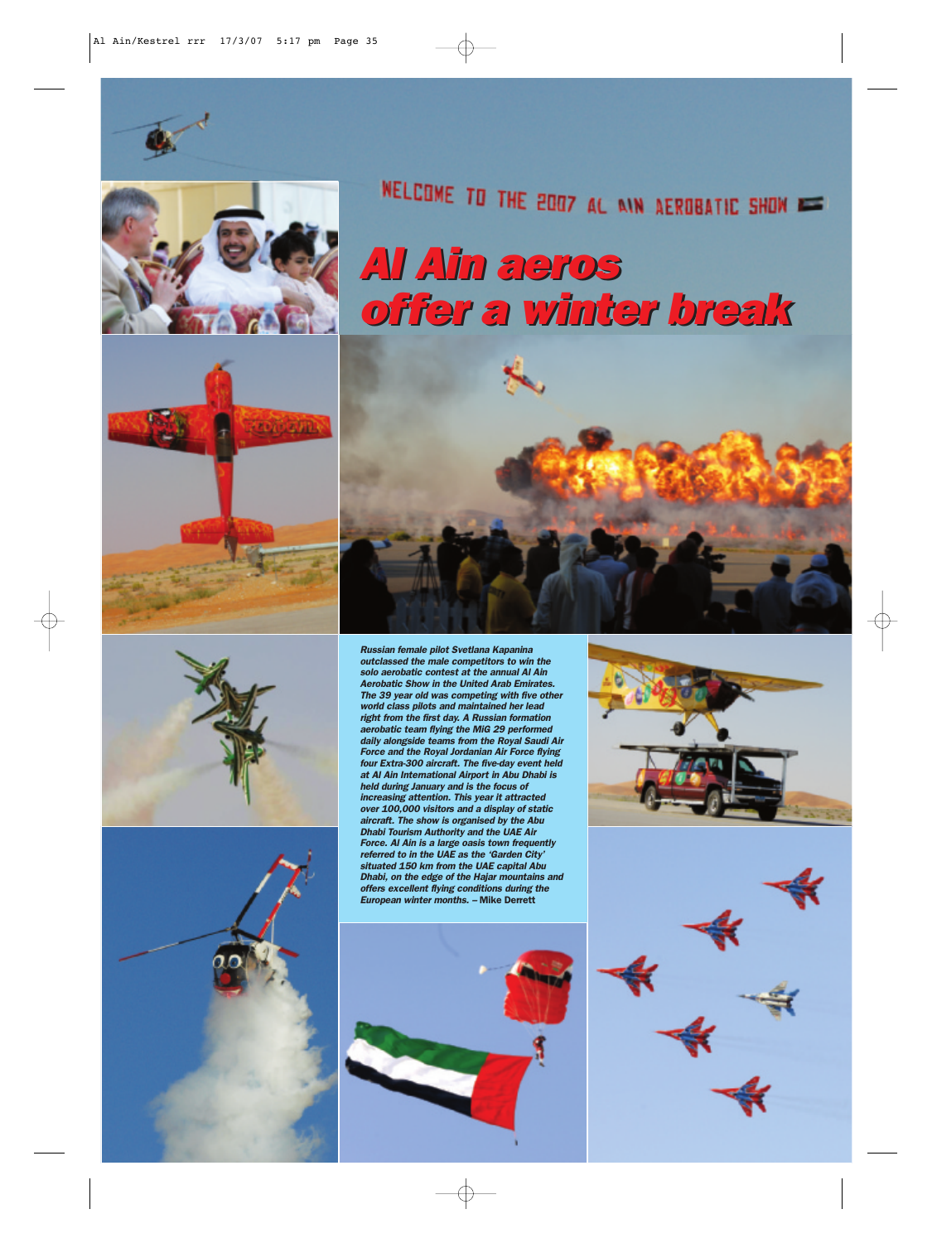







NELCOME TO THE 2007 AL AIN AEROBATIC SHOW

## *Al Ain aeros Al Ain aeros offer a winter break offer a winter break*

 $\oplus$ 



*Russian female pilot Svetlana Kapanina outclassed the male competitors to win the solo aerobatic contest at the annual Al Ain Aerobatic Show in the United Arab Emirates. The 39 year old was competing with five other world class pilots and maintained her lead right from the first day. A Russian formation aerobatic team flying the MiG 29 performed daily alongside teams from the Royal Saudi Air Force and the Royal Jordanian Air Force flying four Extra-300 aircraft. The five-day event held at Al Ain International Airport in Abu Dhabi is held during January and is the focus of increasing attention. This year it attracted over 100,000 visitors and a display of static aircraft. The show is organised by the Abu Dhabi Tourism Authority and the UAE Air Force. Al Ain is a large oasis town frequently referred to in the UAE as the 'Garden City' situated 150 km from the UAE capital Abu Dhabi, on the edge of the Hajar mountains and offers excellent flying conditions during the European winter months. –* Mike Derrett